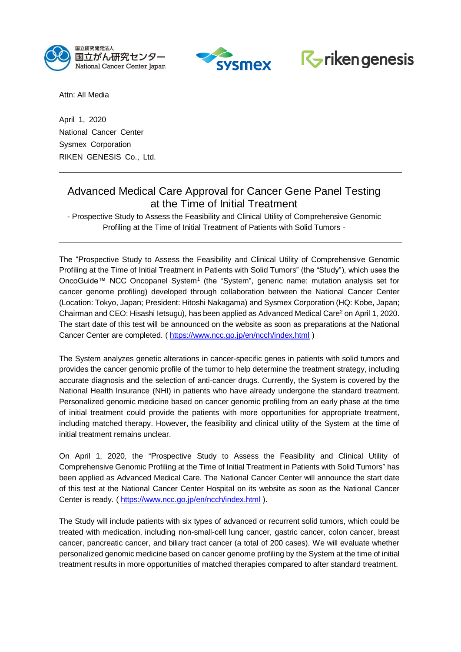



# $R_{\triangleright}$  riken genesis

Attn: All Media

April 1, 2020 National Cancer Center Sysmex Corporation RIKEN GENESIS Co., Ltd.

# Advanced Medical Care Approval for Cancer Gene Panel Testing at the Time of Initial Treatment

- Prospective Study to Assess the Feasibility and Clinical Utility of Comprehensive Genomic Profiling at the Time of Initial Treatment of Patients with Solid Tumors -

The "Prospective Study to Assess the Feasibility and Clinical Utility of Comprehensive Genomic Profiling at the Time of Initial Treatment in Patients with Solid Tumors" (the "Study"), which uses the OncoGuide™ NCC Oncopanel System<sup>1</sup> (the "System", generic name: mutation analysis set for cancer genome profiling) developed through collaboration between the National Cancer Center (Location: Tokyo, Japan; President: Hitoshi Nakagama) and Sysmex Corporation (HQ: Kobe, Japan; Chairman and CEO: Hisashi Ietsugu), has been applied as Advanced Medical Care<sup>2</sup> on April 1, 2020. The start date of this test will be announced on the website as soon as preparations at the National Cancer Center are completed. ( <https://www.ncc.go.jp/en/ncch/index.html> )

The System analyzes genetic alterations in cancer-specific genes in patients with solid tumors and provides the cancer genomic profile of the tumor to help determine the treatment strategy, including accurate diagnosis and the selection of anti-cancer drugs. Currently, the System is covered by the National Health Insurance (NHI) in patients who have already undergone the standard treatment. Personalized genomic medicine based on cancer genomic profiling from an early phase at the time of initial treatment could provide the patients with more opportunities for appropriate treatment, including matched therapy. However, the feasibility and clinical utility of the System at the time of initial treatment remains unclear.

On April 1, 2020, the "Prospective Study to Assess the Feasibility and Clinical Utility of Comprehensive Genomic Profiling at the Time of Initial Treatment in Patients with Solid Tumors" has been applied as Advanced Medical Care. The National Cancer Center will announce the start date of this test at the National Cancer Center Hospital on its website as soon as the National Cancer Center is ready. ( <https://www.ncc.go.jp/en/ncch/index.html> ).

The Study will include patients with six types of advanced or recurrent solid tumors, which could be treated with medication, including non-small-cell lung cancer, gastric cancer, colon cancer, breast cancer, pancreatic cancer, and biliary tract cancer (a total of 200 cases). We will evaluate whether personalized genomic medicine based on cancer genome profiling by the System at the time of initial treatment results in more opportunities of matched therapies compared to after standard treatment.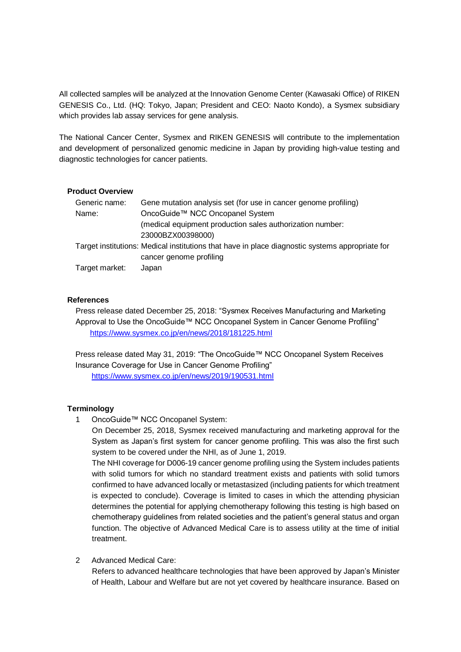All collected samples will be analyzed at the Innovation Genome Center (Kawasaki Office) of RIKEN GENESIS Co., Ltd. (HQ: Tokyo, Japan; President and CEO: Naoto Kondo), a Sysmex subsidiary which provides lab assay services for gene analysis.

The National Cancer Center, Sysmex and RIKEN GENESIS will contribute to the implementation and development of personalized genomic medicine in Japan by providing high-value testing and diagnostic technologies for cancer patients.

#### **Product Overview**

| Gene mutation analysis set (for use in cancer genome profiling)                                 |
|-------------------------------------------------------------------------------------------------|
| OncoGuide™ NCC Oncopanel System                                                                 |
| (medical equipment production sales authorization number:                                       |
| 23000BZX00398000)                                                                               |
| Target institutions: Medical institutions that have in place diagnostic systems appropriate for |
| cancer genome profiling                                                                         |
| Japan                                                                                           |
|                                                                                                 |

## **References**

Press release dated December 25, 2018: "Sysmex Receives Manufacturing and Marketing Approval to Use the OncoGuide™ NCC Oncopanel System in Cancer Genome Profiling" <https://www.sysmex.co.jp/en/news/2018/181225.html>

Press release dated May 31, 2019: "The OncoGuide™ NCC Oncopanel System Receives Insurance Coverage for Use in Cancer Genome Profiling" <https://www.sysmex.co.jp/en/news/2019/190531.html>

## **Terminology**

1 OncoGuide™ NCC Oncopanel System:

On December 25, 2018, Sysmex received manufacturing and marketing approval for the System as Japan's first system for cancer genome profiling. This was also the first such system to be covered under the NHI, as of June 1, 2019.

The NHI coverage for D006-19 cancer genome profiling using the System includes patients with solid tumors for which no standard treatment exists and patients with solid tumors confirmed to have advanced locally or metastasized (including patients for which treatment is expected to conclude). Coverage is limited to cases in which the attending physician determines the potential for applying chemotherapy following this testing is high based on chemotherapy guidelines from related societies and the patient's general status and organ function. The objective of Advanced Medical Care is to assess utility at the time of initial treatment.

2 Advanced Medical Care:

Refers to advanced healthcare technologies that have been approved by Japan's Minister of Health, Labour and Welfare but are not yet covered by healthcare insurance. Based on